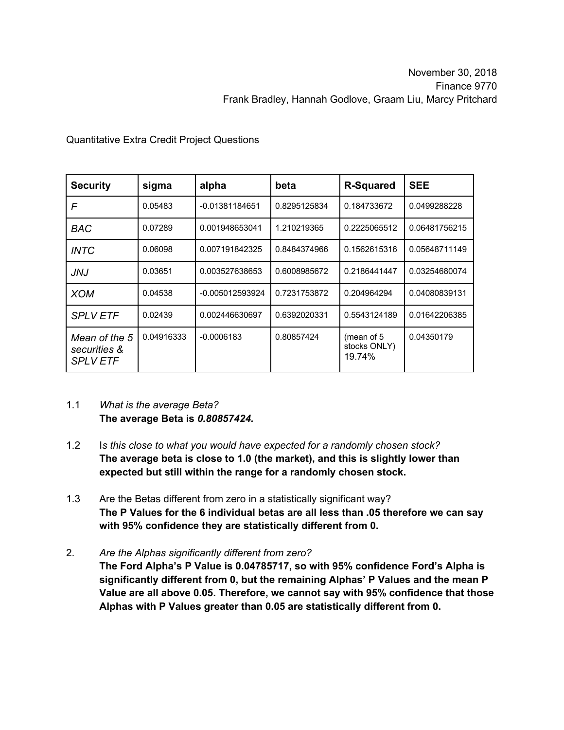| <b>Security</b>                                  | sigma      | alpha           | beta         | <b>R-Squared</b>                     | <b>SEE</b>    |
|--------------------------------------------------|------------|-----------------|--------------|--------------------------------------|---------------|
| F                                                | 0.05483    | -0.01381184651  | 0.8295125834 | 0.184733672                          | 0.0499288228  |
| <b>BAC</b>                                       | 0.07289    | 0.001948653041  | 1.210219365  | 0.2225065512                         | 0.06481756215 |
| <i>INTC</i>                                      | 0.06098    | 0.007191842325  | 0.8484374966 | 0.1562615316                         | 0.05648711149 |
| JNJ                                              | 0.03651    | 0.003527638653  | 0.6008985672 | 0.2186441447                         | 0.03254680074 |
| <b>XOM</b>                                       | 0.04538    | -0.005012593924 | 0.7231753872 | 0.204964294                          | 0.04080839131 |
| <b>SPLV ETF</b>                                  | 0.02439    | 0.002446630697  | 0.6392020331 | 0.5543124189                         | 0.01642206385 |
| Mean of the 5<br>securities &<br><b>SPLV ETF</b> | 0.04916333 | $-0.0006183$    | 0.80857424   | (mean of 5<br>stocks ONLY)<br>19.74% | 0.04350179    |

## Quantitative Extra Credit Project Questions

- 1.1 *What is the average Beta?* **The average Beta is** *0.80857424.*
- 1.2 I*s this close to what you would have expected for a randomly chosen stock?*  **The average beta is close to 1.0 (the market), and this is slightly lower than expected but still within the range for a randomly chosen stock.**
- 1.3 Are the Betas different from zero in a statistically significant way? **The P Values for the 6 individual betas are all less than .05 therefore we can say with 95% confidence they are statistically different from 0.**
- 2. *Are the Alphas significantly different from zero?*
	- **The Ford Alpha's P Value is 0.04785717, so with 95% confidence Ford's Alpha is significantly different from 0, but the remaining Alphas' P Values and the mean P Value are all above 0.05. Therefore, we cannot say with 95% confidence that those Alphas with P Values greater than 0.05 are statistically different from 0.**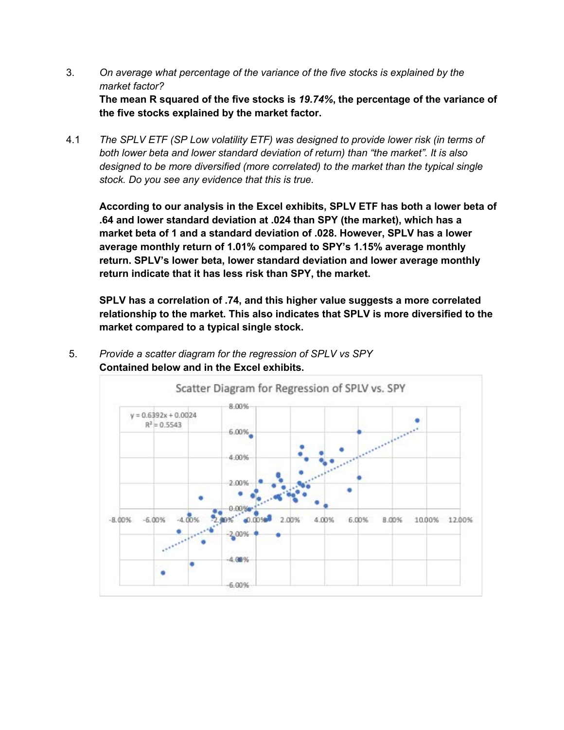- 3. *On average what percentage of the variance of the five stocks is explained by the market factor?* **The mean R squared of the five stocks is** *19.74%***, the percentage of the variance of the five stocks explained by the market factor.**
- 4.1 *The SPLV ETF (SP Low volatility ETF) was designed to provide lower risk (in terms of both lower beta and lower standard deviation of return) than "the market". It is also designed to be more diversified (more correlated) to the market than the typical single stock. Do you see any evidence that this is true.*

**According to our analysis in the Excel exhibits, SPLV ETF has both a lower beta of .64 and lower standard deviation at .024 than SPY (the market), which has a market beta of 1 and a standard deviation of .028. However, SPLV has a lower average monthly return of 1.01% compared to SPY's 1.15% average monthly return. SPLV's lower beta, lower standard deviation and lower average monthly return indicate that it has less risk than SPY, the market.** 

**SPLV has a correlation of .74, and this higher value suggests a more correlated relationship to the market. This also indicates that SPLV is more diversified to the market compared to a typical single stock.** 



5. *Provide a scatter diagram for the regression of SPLV vs SPY* **Contained below and in the Excel exhibits.**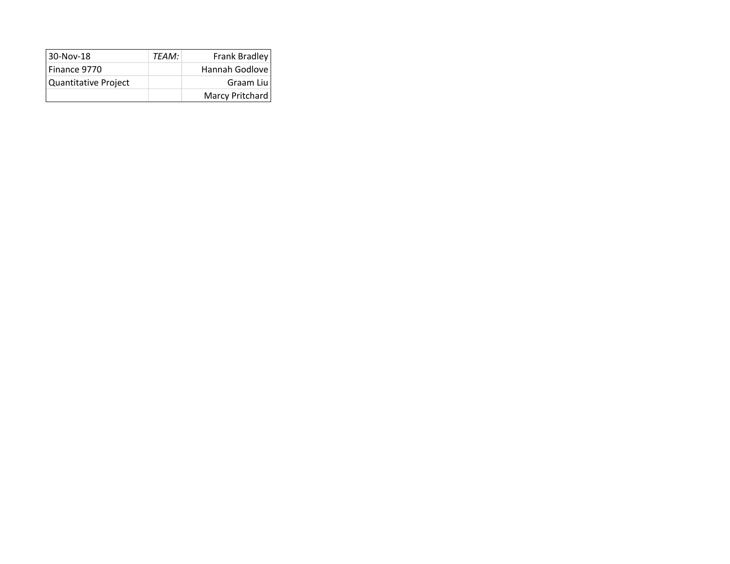| 30-Nov-18            | TFAM: | Frank Bradley   |
|----------------------|-------|-----------------|
| Finance 9770         |       | Hannah Godlove  |
| Quantitative Project |       | Graam Liu       |
|                      |       | Marcy Pritchard |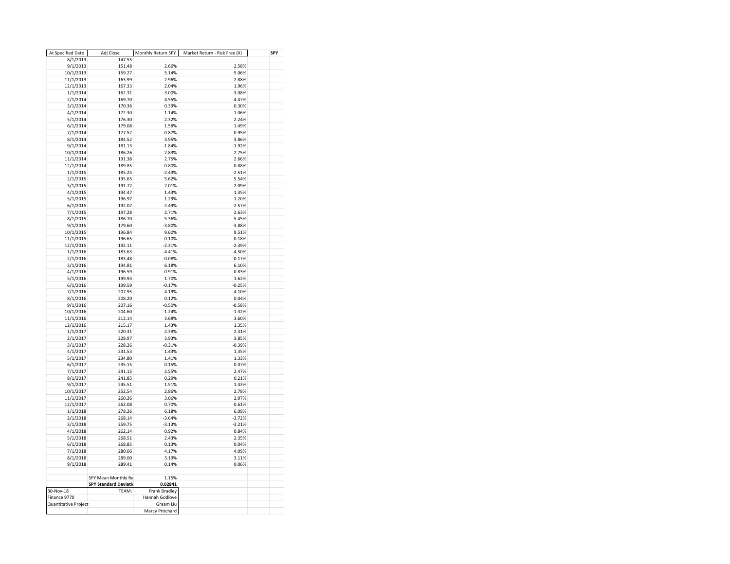| At Specified Date    | Adj Close                    | Monthly Return SPY | Market Return - Risk Free (X) | SPY |
|----------------------|------------------------------|--------------------|-------------------------------|-----|
| 8/1/2013             | 147.55                       |                    |                               |     |
| 9/1/2013             | 151.48                       | 2.66%              | 2.58%                         |     |
| 10/1/2013            | 159.27                       | 5.14%              | 5.06%                         |     |
| 11/1/2013            | 163.99                       | 2.96%              | 2.88%                         |     |
| 12/1/2013            | 167.33                       | 2.04%              | 1.96%                         |     |
| 1/1/2014             | 162.31                       | $-3.00%$           | $-3.08%$                      |     |
| 2/1/2014             | 169.70                       | 4.55%              | 4.47%                         |     |
| 3/1/2014             | 170.36                       | 0.39%              | 0.30%                         |     |
|                      |                              |                    |                               |     |
| 4/1/2014             | 172.30                       | 1.14%              | 1.06%                         |     |
| 5/1/2014             | 176.30                       | 2.32%              | 2.24%                         |     |
| 6/1/2014             | 179.08                       | 1.58%              | 1.49%                         |     |
| 7/1/2014             | 177.52                       | $-0.87%$           | $-0.95%$                      |     |
| 8/1/2014             | 184.52                       | 3.95%              | 3.86%                         |     |
| 9/1/2014             | 181.13                       | $-1.84%$           | $-1.92%$                      |     |
| 10/1/2014            | 186.26                       | 2.83%              | 2.75%                         |     |
| 11/1/2014            | 191.38                       | 2.75%              | 2.66%                         |     |
| 12/1/2014            | 189.85                       | $-0.80%$           | $-0.88%$                      |     |
| 1/1/2015             | 185.24                       | $-2.43%$           | $-2.51%$                      |     |
| 2/1/2015             | 195.65                       | 5.62%              | 5.54%                         |     |
| 3/1/2015             | 191.72                       | $-2.01%$           | $-2.09%$                      |     |
| 4/1/2015             | 194.47                       | 1.43%              | 1.35%                         |     |
| 5/1/2015             | 196.97                       | 1.29%              | 1.20%                         |     |
| 6/1/2015             | 192.07                       | $-2.49%$           | $-2.57%$                      |     |
| 7/1/2015             | 197.28                       | 2.71%              | 2.63%                         |     |
| 8/1/2015             | 186.70                       | $-5.36%$           | $-5.45%$                      |     |
| 9/1/2015             | 179.60                       | $-3.80%$           | $-3.88%$                      |     |
| 10/1/2015            | 196.84                       | 9.60%              | 9.51%                         |     |
| 11/1/2015            | 196.65                       | $-0.10%$           | $-0.18%$                      |     |
| 12/1/2015            | 192.11                       | $-2.31%$           | $-2.39%$                      |     |
| 1/1/2016             | 183.63                       | $-4.41%$           | $-4.50%$                      |     |
| 2/1/2016             | 183.48                       | $-0.08%$           | $-0.17%$                      |     |
| 3/1/2016             | 194.81                       | 6.18%              | 6.10%                         |     |
| 4/1/2016             | 196.59                       | 0.91%              | 0.83%                         |     |
| 5/1/2016             | 199.93                       | 1.70%              | 1.62%                         |     |
| 6/1/2016             | 199.59                       | $-0.17%$           | $-0.25%$                      |     |
| 7/1/2016             | 207.95                       | 4.19%              | 4.10%                         |     |
| 8/1/2016             | 208.20                       | 0.12%              | 0.04%                         |     |
| 9/1/2016             | 207.16                       | $-0.50%$           | $-0.58%$                      |     |
| 10/1/2016            | 204.60                       | $-1.24%$           | $-1.32%$                      |     |
| 11/1/2016            | 212.14                       | 3.68%              | 3.60%                         |     |
| 12/1/2016            | 215.17                       | 1.43%              | 1.35%                         |     |
| 1/1/2017             | 220.31                       | 2.39%              | 2.31%                         |     |
| 2/1/2017             | 228.97                       | 3.93%              | 3.85%                         |     |
| 3/1/2017             | 228.26                       | $-0.31%$           | $-0.39%$                      |     |
|                      | 231.53                       | 1.43%              | 1.35%                         |     |
| 4/1/2017             | 234.80                       | 1.41%              | 1.33%                         |     |
| 5/1/2017             |                              |                    |                               |     |
| 6/1/2017             | 235.15                       | 0.15%              | 0.07%                         |     |
| 7/1/2017             | 241.15                       | 2.55%              | 2.47%                         |     |
| 8/1/2017             | 241.85                       | 0.29%              | 0.21%                         |     |
| 9/1/2017             | 245.51                       | 1.51%              | 1.43%                         |     |
| 10/1/2017            | 252.54                       | 2.86%              | 2.78%                         |     |
| 11/1/2017            | 260.26                       | 3.06%              | 2.97%                         |     |
| 12/1/2017            | 262.08                       | 0.70%              | 0.61%                         |     |
| 1/1/2018             | 278.26                       | 6.18%              | 6.09%                         |     |
| 2/1/2018             | 268.14                       | $-3.64%$           | $-3.72%$                      |     |
| 3/1/2018             | 259.75                       | $-3.13%$           | $-3.21%$                      |     |
| 4/1/2018             | 262.14                       | 0.92%              | 0.84%                         |     |
| 5/1/2018             | 268.51                       | 2.43%              | 2.35%                         |     |
| 6/1/2018             | 268.85                       | 0.13%              | 0.04%                         |     |
| 7/1/2018             | 280.06                       | 4.17%              | 4.09%                         |     |
| 8/1/2018             | 289.00                       | 3.19%              | 3.11%                         |     |
| 9/1/2018             | 289.41                       | 0.14%              | 0.06%                         |     |
|                      |                              |                    |                               |     |
|                      | SPY Mean Monthly Re          | 1.15%              |                               |     |
|                      | <b>SPY Standard Deviatio</b> | 0.02841            |                               |     |
| 30-Nov-18            | TFAM:                        | Frank Bradley      |                               |     |
| Finance 9770         |                              | Hannah Godlove     |                               |     |
| Quantitative Project |                              | Graam Liu          |                               |     |
|                      |                              | Marcy Pritchard    |                               |     |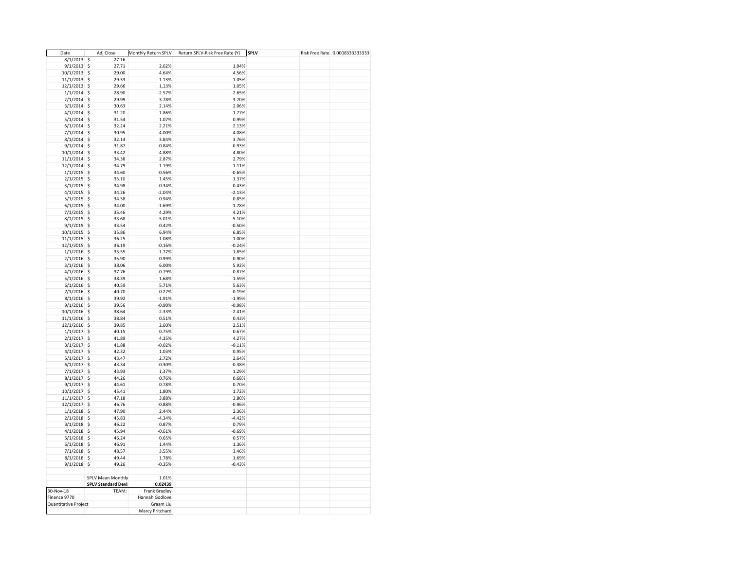| Date                           | Adj Close                  | Monthly Return SPLV | Return SPLV-Risk Free Rate (Y) | <b>SPLV</b> | Risk Free Rate 0.0008333333333 |
|--------------------------------|----------------------------|---------------------|--------------------------------|-------------|--------------------------------|
| $8/1/2013$ \$                  | 27.16                      |                     |                                |             |                                |
| $9/1/2013$ \$                  | 27.71                      | 2.02%               | 1.94%                          |             |                                |
| 10/1/2013 \$                   | 29.00                      | 4.64%               | 4.56%                          |             |                                |
| 11/1/2013 \$                   | 29.33                      | 1.13%               | 1.05%                          |             |                                |
| $12/1/2013$ \$                 | 29.66                      | 1.13%               | 1.05%                          |             |                                |
| $1/1/2014$ \$                  | 28.90                      | $-2.57%$            | $-2.65%$                       |             |                                |
| $2/1/2014$ \$                  | 29.99                      | 3.78%               | 3.70%                          |             |                                |
| $3/1/2014$ \$                  | 30.63                      | 2.14%               | 2.06%                          |             |                                |
| $4/1/2014$ \$                  | 31.20                      | 1.86%               | 1.77%                          |             |                                |
| $5/1/2014$ \$                  | 31.54                      | 1.07%               | 0.99%                          |             |                                |
| $6/1/2014$ \$                  | 32.24                      | 2.21%               | 2.13%                          |             |                                |
| $7/1/2014$ \$                  | 30.95                      | $-4.00%$            | $-4.08%$                       |             |                                |
| $8/1/2014$ \$                  | 32.14                      | 3.84%               | 3.76%                          |             |                                |
| $9/1/2014$ \$                  | 31.87                      | $-0.84%$            | $-0.93%$                       |             |                                |
|                                | 33.42                      | 4.88%               | 4.80%                          |             |                                |
| 10/1/2014 \$                   |                            | 2.87%               |                                |             |                                |
| 11/1/2014 \$                   | 34.38                      |                     | 2.79%                          |             |                                |
| 12/1/2014 \$                   | 34.79                      | 1.19%               | 1.11%                          |             |                                |
| $1/1/2015$ \$                  | 34.60                      | $-0.56%$            | $-0.65%$                       |             |                                |
| $2/1/2015$ \$                  | 35.10                      | 1.45%               | 1.37%                          |             |                                |
| $3/1/2015$ \$                  | 34.98                      | $-0.34%$            | $-0.43%$                       |             |                                |
| $4/1/2015$ \$                  | 34.26                      | $-2.04%$            | $-2.13%$                       |             |                                |
| $5/1/2015$ \$                  | 34.58                      | 0.94%               | 0.85%                          |             |                                |
| $6/1/2015$ \$                  | 34.00                      | $-1.69%$            | $-1.78%$                       |             |                                |
| $7/1/2015$ \$                  | 35.46                      | 4.29%               | 4.21%                          |             |                                |
| $8/1/2015$ \$                  | 33.68                      | $-5.01%$            | $-5.10%$                       |             |                                |
| 9/1/2015                       | \$<br>33.54                | $-0.42%$            | $-0.50%$                       |             |                                |
| $10/1/2015$ \$                 | 35.86                      | 6.94%               | 6.85%                          |             |                                |
| 11/1/2015 \$                   | 36.25                      | 1.08%               | 1.00%                          |             |                                |
| $12/1/2015$ \$                 | 36.19                      | $-0.16%$            | $-0.24%$                       |             |                                |
| $1/1/2016$ \$                  | 35.55                      | $-1.77%$            | $-1.85%$                       |             |                                |
| $2/1/2016$ \$                  | 35.90                      | 0.99%               | 0.90%                          |             |                                |
| $3/1/2016$ \$                  | 38.06                      | 6.00%               | 5.92%                          |             |                                |
| $4/1/2016$ \$                  | 37.76                      | $-0.79%$            | $-0.87%$                       |             |                                |
| $5/1/2016$ \$                  | 38.39                      | 1.68%               | 1.59%                          |             |                                |
| $6/1/2016$ \$                  | 40.59                      | 5.71%               | 5.63%                          |             |                                |
| 7/1/2016 \$                    | 40.70                      | 0.27%               | 0.19%                          |             |                                |
| $8/1/2016$ \$                  | 39.92                      | $-1.91%$            | $-1.99%$                       |             |                                |
| $9/1/2016$ \$                  | 39.56                      | $-0.90%$            | $-0.98%$                       |             |                                |
| $10/1/2016$ \$                 | 38.64                      | $-2.33%$            | $-2.41%$                       |             |                                |
| 11/1/2016 \$                   | 38.84                      | 0.51%               | 0.43%                          |             |                                |
| 12/1/2016 \$                   | 39.85                      | 2.60%               | 2.51%                          |             |                                |
| $1/1/2017$ \$                  | 40.15                      | 0.75%               | 0.67%                          |             |                                |
| $2/1/2017$ \$                  | 41.89                      | 4.35%               | 4.27%                          |             |                                |
| $3/1/2017$ \$                  | 41.88                      | $-0.02%$            | $-0.11%$                       |             |                                |
|                                | 42.32                      | 1.03%               | 0.95%                          |             |                                |
| $4/1/2017$ \$<br>$5/1/2017$ \$ | 43.47                      | 2.72%               |                                |             |                                |
|                                |                            |                     | 2.64%                          |             |                                |
| $6/1/2017$ \$                  | 43.34                      | $-0.30%$            | $-0.38%$                       |             |                                |
| 7/1/2017 \$                    | 43.93                      | 1.37%               | 1.29%                          |             |                                |
| $8/1/2017$ \$                  | 44.26                      | 0.76%               | 0.68%                          |             |                                |
| $9/1/2017$ \$                  | 44.61                      | 0.78%               | 0.70%                          |             |                                |
| $10/1/2017$ \$                 | 45.41                      | 1.80%               | 1.72%                          |             |                                |
| $11/1/2017$ \$                 | 47.18                      | 3.88%               | 3.80%                          |             |                                |
| 12/1/2017 \$                   | 46.76                      | $-0.88%$            | $-0.96%$                       |             |                                |
| $1/1/2018$ \$                  | 47.90                      | 2.44%               | 2.36%                          |             |                                |
| $2/1/2018$ \$                  | 45.83                      | $-4.34%$            | $-4.42%$                       |             |                                |
| $3/1/2018$ \$                  | 46.22                      | 0.87%               | 0.79%                          |             |                                |
| $4/1/2018$ \$                  | 45.94                      | $-0.61%$            | $-0.69%$                       |             |                                |
| $5/1/2018$ \$                  | 46.24                      | 0.65%               | 0.57%                          |             |                                |
| $6/1/2018$ \$                  | 46.91                      | 1.44%               | 1.36%                          |             |                                |
| $7/1/2018$ \$                  | 48.57                      | 3.55%               | 3.46%                          |             |                                |
| $8/1/2018$ \$                  | 49.44                      | 1.78%               | 1.69%                          |             |                                |
| $9/1/2018$ \$                  | 49.26                      | $-0.35%$            | $-0.43%$                       |             |                                |
|                                |                            |                     |                                |             |                                |
|                                | SPLV Mean Monthly          | 1.01%               |                                |             |                                |
|                                | <b>SPLV Standard Devia</b> | 0.02439             |                                |             |                                |
| 30-Nov-18                      | TEAM:                      | Frank Bradley       |                                |             |                                |
| Finance 9770                   |                            | Hannah Godlove      |                                |             |                                |
| Quantitative Project           |                            | Graam Liu           |                                |             |                                |
|                                |                            | Marcy Pritchard     |                                |             |                                |
|                                |                            |                     |                                |             |                                |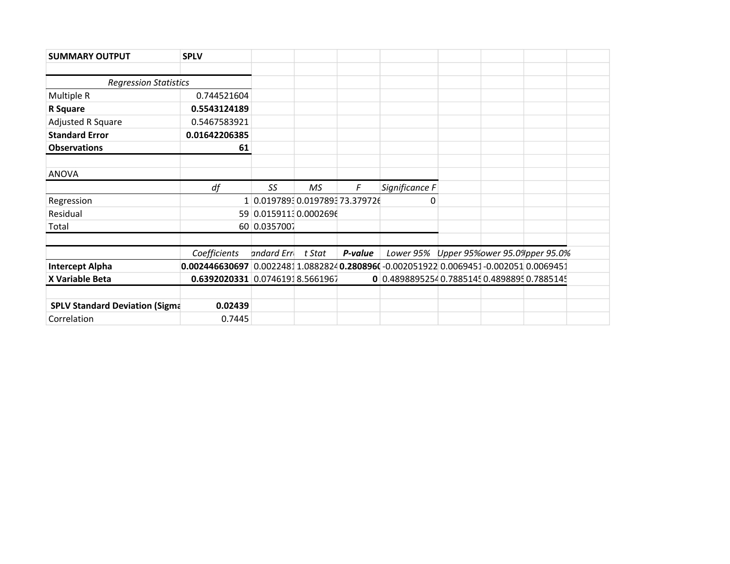| <b>SUMMARY OUTPUT</b>                 | <b>SPLV</b>                                                                          |              |                             |         |                                              |  |  |
|---------------------------------------|--------------------------------------------------------------------------------------|--------------|-----------------------------|---------|----------------------------------------------|--|--|
|                                       |                                                                                      |              |                             |         |                                              |  |  |
| <b>Regression Statistics</b>          |                                                                                      |              |                             |         |                                              |  |  |
| Multiple R                            | 0.744521604                                                                          |              |                             |         |                                              |  |  |
| R Square                              | 0.5543124189                                                                         |              |                             |         |                                              |  |  |
| Adjusted R Square                     | 0.5467583921                                                                         |              |                             |         |                                              |  |  |
| <b>Standard Error</b>                 | 0.01642206385                                                                        |              |                             |         |                                              |  |  |
| <b>Observations</b>                   | 61                                                                                   |              |                             |         |                                              |  |  |
|                                       |                                                                                      |              |                             |         |                                              |  |  |
| <b>ANOVA</b>                          |                                                                                      |              |                             |         |                                              |  |  |
|                                       | df                                                                                   | SS.          | МS                          | F       | Significance F                               |  |  |
| Regression                            | 1.                                                                                   |              | 0.01978930.019789373.379726 |         | 0                                            |  |  |
| Residual                              |                                                                                      |              | 59 0.0159113 0.0002696      |         |                                              |  |  |
| Total                                 |                                                                                      | 60 0.0357007 |                             |         |                                              |  |  |
|                                       |                                                                                      |              |                             |         |                                              |  |  |
|                                       | Coefficients                                                                         | andard Erri  | t Stat                      | P-value | Lower 95% Upper 95% ower 95.0% pper 95.0%    |  |  |
| <b>Intercept Alpha</b>                | 0.002446630697 0.00224811.0882824 0.280896(-0.002051922 0.0069451-0.002051 0.0069451 |              |                             |         |                                              |  |  |
| X Variable Beta                       | 0.6392020331 0.07461918.5661967                                                      |              |                             |         | 0 0.4898895254 0.7885145 0.4898895 0.7885145 |  |  |
|                                       |                                                                                      |              |                             |         |                                              |  |  |
| <b>SPLV Standard Deviation (Sigma</b> | 0.02439                                                                              |              |                             |         |                                              |  |  |
| Correlation                           | 0.7445                                                                               |              |                             |         |                                              |  |  |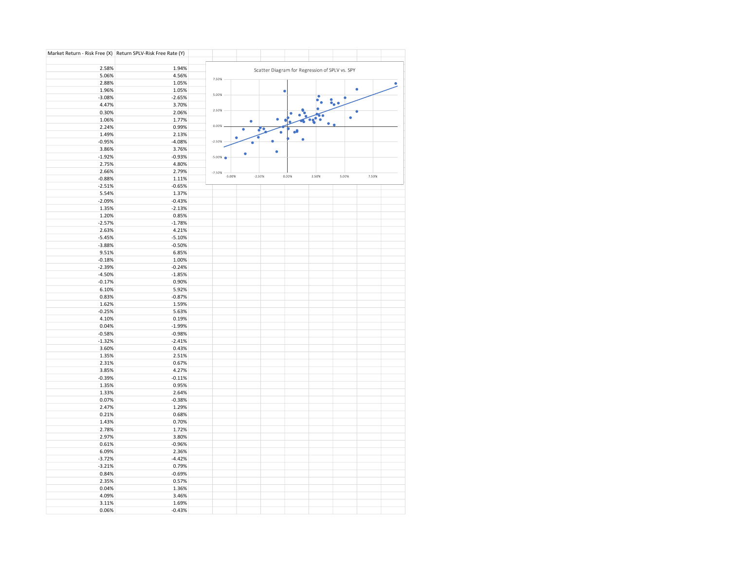|                | Market Return - Risk Free (X) Return SPLV-Risk Free Rate (Y) |                      |          |                                                |       |       |       |       |  |
|----------------|--------------------------------------------------------------|----------------------|----------|------------------------------------------------|-------|-------|-------|-------|--|
| 2.58%          | 1.94%                                                        |                      |          | Scatter Diagram for Regression of SPLV vs. SPY |       |       |       |       |  |
| 5.06%          | 4.56%                                                        |                      |          |                                                |       |       |       |       |  |
| 2.88%          | 1.05%                                                        | 7.50%                |          |                                                |       |       |       |       |  |
| 1.96%          | 1.05%                                                        |                      |          |                                                |       |       | ٠     |       |  |
| $-3.08%$       | $-2.65%$                                                     | 5.00%                |          |                                                |       |       |       |       |  |
| 4.47%          | 3.70%                                                        |                      |          |                                                |       |       | ٠.    |       |  |
| 0.30%          | 2.06%                                                        | 2.50%                |          |                                                |       |       |       |       |  |
| 1.06%          | 1.77%                                                        |                      | ٠        |                                                |       |       |       |       |  |
| 2.24%          | 0.99%                                                        | 0.00%                |          |                                                |       |       |       |       |  |
| 1.49%          | 2.13%                                                        |                      |          |                                                |       |       |       |       |  |
| $-0.95%$       | $-4.08%$                                                     | $-2.50%$             |          |                                                |       |       |       |       |  |
| 3.86%          | 3.76%                                                        |                      |          | ٠                                              |       |       |       |       |  |
| $-1.92%$       | $-0.93%$                                                     | $-5.00%$             |          |                                                |       |       |       |       |  |
| 2.75%          | 4.80%                                                        |                      |          |                                                |       |       |       |       |  |
| 2.66%          | 2.79%                                                        | $-7.50%$<br>$-5.00%$ | $-2.50%$ |                                                | 0.00% | 2.50% | 5.00% |       |  |
| $-0.88%$       | 1.11%                                                        |                      |          |                                                |       |       |       | 7.50% |  |
| $-2.51%$       | $-0.65%$                                                     |                      |          |                                                |       |       |       |       |  |
| 5.54%          | 1.37%                                                        |                      |          |                                                |       |       |       |       |  |
| $-2.09%$       | $-0.43%$                                                     |                      |          |                                                |       |       |       |       |  |
| 1.35%          | $-2.13%$                                                     |                      |          |                                                |       |       |       |       |  |
| 1.20%          | 0.85%                                                        |                      |          |                                                |       |       |       |       |  |
| $-2.57%$       | $-1.78%$                                                     |                      |          |                                                |       |       |       |       |  |
| 2.63%          | 4.21%                                                        |                      |          |                                                |       |       |       |       |  |
| $-5.45%$       | $-5.10%$                                                     |                      |          |                                                |       |       |       |       |  |
| $-3.88%$       | $-0.50%$                                                     |                      |          |                                                |       |       |       |       |  |
| 9.51%          | 6.85%                                                        |                      |          |                                                |       |       |       |       |  |
| $-0.18%$       | 1.00%                                                        |                      |          |                                                |       |       |       |       |  |
| $-2.39%$       | $-0.24%$                                                     |                      |          |                                                |       |       |       |       |  |
| $-4.50%$       | $-1.85%$                                                     |                      |          |                                                |       |       |       |       |  |
| $-0.17%$       | 0.90%                                                        |                      |          |                                                |       |       |       |       |  |
| 6.10%          | 5.92%                                                        |                      |          |                                                |       |       |       |       |  |
| 0.83%<br>1.62% | $-0.87%$                                                     |                      |          |                                                |       |       |       |       |  |
| $-0.25%$       | 1.59%<br>5.63%                                               |                      |          |                                                |       |       |       |       |  |
| 4.10%          | 0.19%                                                        |                      |          |                                                |       |       |       |       |  |
| 0.04%          | $-1.99%$                                                     |                      |          |                                                |       |       |       |       |  |
| $-0.58%$       | $-0.98%$                                                     |                      |          |                                                |       |       |       |       |  |
| $-1.32%$       | $-2.41%$                                                     |                      |          |                                                |       |       |       |       |  |
| 3.60%          | 0.43%                                                        |                      |          |                                                |       |       |       |       |  |
| 1.35%          | 2.51%                                                        |                      |          |                                                |       |       |       |       |  |
| 2.31%          | 0.67%                                                        |                      |          |                                                |       |       |       |       |  |
| 3.85%          | 4.27%                                                        |                      |          |                                                |       |       |       |       |  |
| $-0.39%$       | $-0.11%$                                                     |                      |          |                                                |       |       |       |       |  |
| 1.35%          | 0.95%                                                        |                      |          |                                                |       |       |       |       |  |
| 1.33%          | 2.64%                                                        |                      |          |                                                |       |       |       |       |  |
| 0.07%          | $-0.38%$                                                     |                      |          |                                                |       |       |       |       |  |
| 2.47%          | 1.29%                                                        |                      |          |                                                |       |       |       |       |  |
| 0.21%          | 0.68%                                                        |                      |          |                                                |       |       |       |       |  |
| 1.43%          | 0.70%                                                        |                      |          |                                                |       |       |       |       |  |
| 2.78%          | 1.72%                                                        |                      |          |                                                |       |       |       |       |  |
| 2.97%          | 3.80%                                                        |                      |          |                                                |       |       |       |       |  |
| 0.61%          | $-0.96%$                                                     |                      |          |                                                |       |       |       |       |  |
| 6.09%          | 2.36%                                                        |                      |          |                                                |       |       |       |       |  |
| $-3.72%$       | $-4.42%$                                                     |                      |          |                                                |       |       |       |       |  |
| $-3.21%$       | 0.79%                                                        |                      |          |                                                |       |       |       |       |  |
| 0.84%          | $-0.69%$                                                     |                      |          |                                                |       |       |       |       |  |
| 2.35%          | 0.57%                                                        |                      |          |                                                |       |       |       |       |  |
| 0.04%          | 1.36%                                                        |                      |          |                                                |       |       |       |       |  |
| 4.09%<br>3.11% | 3.46%<br>1.69%                                               |                      |          |                                                |       |       |       |       |  |
| 0.06%          | $-0.43%$                                                     |                      |          |                                                |       |       |       |       |  |
|                |                                                              |                      |          |                                                |       |       |       |       |  |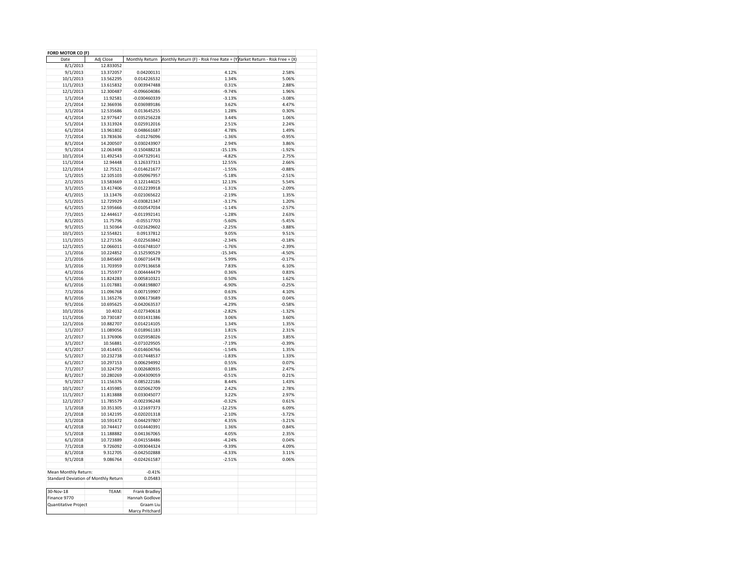| FORD MOTOR CO (F)    |                                      |                     |                                                                                        |          |
|----------------------|--------------------------------------|---------------------|----------------------------------------------------------------------------------------|----------|
| Date                 | Adj Close                            |                     | Monthly Return Monthly Return (F) - Risk Free Rate = (YMarket Return - Risk Free = (X) |          |
| 8/1/2013             | 12.833052                            |                     |                                                                                        |          |
| 9/1/2013             | 13.372057                            | 0.04200131          | 4.12%                                                                                  | 2.58%    |
| 10/1/2013            | 13.562295                            | 0.014226532         | 1.34%                                                                                  | 5.06%    |
| 11/1/2013            | 13.615832                            | 0.003947488         | 0.31%                                                                                  | 2.88%    |
| 12/1/2013            | 12.300487                            | $-0.096604086$      | $-9.74%$                                                                               | 1.96%    |
|                      |                                      | $-0.030460339$      | $-3.13%$                                                                               | $-3.08%$ |
| 1/1/2014             | 11.92581                             |                     |                                                                                        |          |
| 2/1/2014             | 12.366936                            | 0.036989186         | 3.62%                                                                                  | 4.47%    |
| 3/1/2014             | 12.535686                            | 0.013645255         | 1.28%                                                                                  | 0.30%    |
| 4/1/2014             | 12.977647                            | 0.035256228         | 3.44%                                                                                  | 1.06%    |
| 5/1/2014             | 13.313924                            | 0.025912016         | 2.51%                                                                                  | 2.24%    |
| 6/1/2014             | 13.961802                            | 0.048661687         | 4.78%                                                                                  | 1.49%    |
| 7/1/2014             | 13.783636                            | $-0.01276096$       | $-1.36%$                                                                               | $-0.95%$ |
| 8/1/2014             | 14.200507                            | 0.030243907         | 2.94%                                                                                  | 3.86%    |
| 9/1/2014             | 12.063498                            | $-0.150488218$      | $-15.13%$                                                                              | $-1.92%$ |
| 10/1/2014            | 11.492543                            | $-0.047329141$      | $-4.82%$                                                                               | 2.75%    |
| 11/1/2014            | 12.94448                             | 0.126337313         | 12.55%                                                                                 | 2.66%    |
| 12/1/2014            | 12.75521                             | $-0.014621677$      | $-1.55%$                                                                               | $-0.88%$ |
|                      |                                      |                     |                                                                                        |          |
| 1/1/2015             | 12.105103                            | $-0.050967957$      | $-5.18%$                                                                               | $-2.51%$ |
| 2/1/2015             | 13.583669                            | 0.122144025         | 12.13%                                                                                 | 5.54%    |
| 3/1/2015             | 13.417406                            | -0.012239918        | $-1.31%$                                                                               | $-2.09%$ |
| 4/1/2015             | 13.13476                             | $-0.021065622$      | $-2.19%$                                                                               | 1.35%    |
| 5/1/2015             | 12.729929                            | $-0.030821347$      | $-3.17%$                                                                               | 1.20%    |
| 6/1/2015             | 12.595666                            | $-0.010547034$      | $-1.14%$                                                                               | $-2.57%$ |
| 7/1/2015             | 12.444617                            | $-0.011992141$      | $-1.28%$                                                                               | 2.63%    |
| 8/1/2015             | 11.75796                             | $-0.05517703$       | $-5.60%$                                                                               | $-5.45%$ |
| 9/1/2015             | 11.50364                             | $-0.021629602$      | $-2.25%$                                                                               | $-3.88%$ |
| 10/1/2015            | 12.554821                            | 0.09137812          | 9.05%                                                                                  | 9.51%    |
|                      |                                      | $-0.022563842$      | $-2.34%$                                                                               |          |
| 11/1/2015            | 12.271536                            |                     |                                                                                        | $-0.18%$ |
| 12/1/2015            | 12.066011                            | $-0.016748107$      | $-1.76%$                                                                               | $-2.39%$ |
| 1/1/2016             | 10.224852                            | $-0.152590529$      | $-15.34%$                                                                              | $-4.50%$ |
| 2/1/2016             | 10.845669                            | 0.060716478         | 5.99%                                                                                  | $-0.17%$ |
| 3/1/2016             | 11.703959                            | 0.079136658         | 7.83%                                                                                  | 6.10%    |
| 4/1/2016             | 11.755977                            | 0.004444479         | 0.36%                                                                                  | 0.83%    |
| 5/1/2016             | 11.824283                            | 0.005810321         | 0.50%                                                                                  | 1.62%    |
| 6/1/2016             | 11.017881                            | $-0.068198807$      | $-6.90%$                                                                               | $-0.25%$ |
| 7/1/2016             | 11.096768                            | 0.007159907         | 0.63%                                                                                  | 4.10%    |
| 8/1/2016             | 11.165276                            | 0.006173689         | 0.53%                                                                                  | 0.04%    |
| 9/1/2016             | 10.695625                            | $-0.042063537$      | $-4.29%$                                                                               | $-0.58%$ |
| 10/1/2016            | 10.4032                              | $-0.027340618$      | $-2.82%$                                                                               | $-1.32%$ |
|                      |                                      |                     |                                                                                        |          |
| 11/1/2016            | 10.730187                            | 0.031431386         | 3.06%                                                                                  | 3.60%    |
| 12/1/2016            | 10.882707                            | 0.014214105         | 1.34%                                                                                  | 1.35%    |
| 1/1/2017             | 11.089056                            | 0.018961183         | 1.81%                                                                                  | 2.31%    |
| 2/1/2017             | 11.376906                            | 0.025958026         | 2.51%                                                                                  | 3.85%    |
| 3/1/2017             | 10.56881                             | -0.071029505        | $-7.19%$                                                                               | $-0.39%$ |
| 4/1/2017             | 10.414455                            | $-0.014604766$      | $-1.54%$                                                                               | 1.35%    |
| 5/1/2017             | 10.232738                            | $-0.017448537$      | $-1.83%$                                                                               | 1.33%    |
| 6/1/2017             | 10.297153                            | 0.006294992         | 0.55%                                                                                  | 0.07%    |
| 7/1/2017             | 10.324759                            | 0.002680935         | 0.18%                                                                                  | 2.47%    |
| 8/1/2017             | 10.280269                            | $-0.004309059$      | $-0.51%$                                                                               | 0.21%    |
|                      |                                      | 0.085222186         | 8.44%                                                                                  |          |
| 9/1/2017             | 11.156376                            |                     |                                                                                        | 1.43%    |
| 10/1/2017            | 11.435985                            | 0.025062709         | 2.42%                                                                                  | 2.78%    |
| 11/1/2017            | 11.813888                            | 0.033045077         | 3.22%                                                                                  | 2.97%    |
| 12/1/2017            | 11.785579                            | $-0.002396248$      | $-0.32%$                                                                               | 0.61%    |
| 1/1/2018             | 10.351305                            | $-0.121697373$      | $-12.25%$                                                                              | 6.09%    |
| 2/1/2018             | 10.142195                            | $-0.020201318$      | $-2.10%$                                                                               | $-3.72%$ |
| 3/1/2018             | 10.591472                            | 0.044297807         | 4.35%                                                                                  | $-3.21%$ |
| 4/1/2018             | 10.744417                            | 0.014440391         | 1.36%                                                                                  | 0.84%    |
| 5/1/2018             | 11.188882                            | 0.041367065         | 4.05%                                                                                  | 2.35%    |
| 6/1/2018             | 10.723889                            | $-0.041558486$      | $-4.24%$                                                                               | 0.04%    |
| 7/1/2018             | 9.726092                             | $-0.093044324$      | $-9.39%$                                                                               | 4.09%    |
|                      | 9.312705                             | $-0.042502888$      |                                                                                        |          |
| 8/1/2018             |                                      |                     | $-4.33%$                                                                               | 3.11%    |
| 9/1/2018             | 9.086764                             | $-0.024261587$      | $-2.51%$                                                                               | 0.06%    |
|                      |                                      |                     |                                                                                        |          |
| Mean Monthly Return: | Standard Deviation of Monthly Return | $-0.41%$<br>0.05483 |                                                                                        |          |
|                      |                                      |                     |                                                                                        |          |
| 30-Nov-18            | TEAM:                                | Frank Bradley       |                                                                                        |          |
| Finance 9770         |                                      | Hannah Godlove      |                                                                                        |          |
| Quantitative Project |                                      | Graam Liu           |                                                                                        |          |
|                      |                                      | Marcy Pritchard     |                                                                                        |          |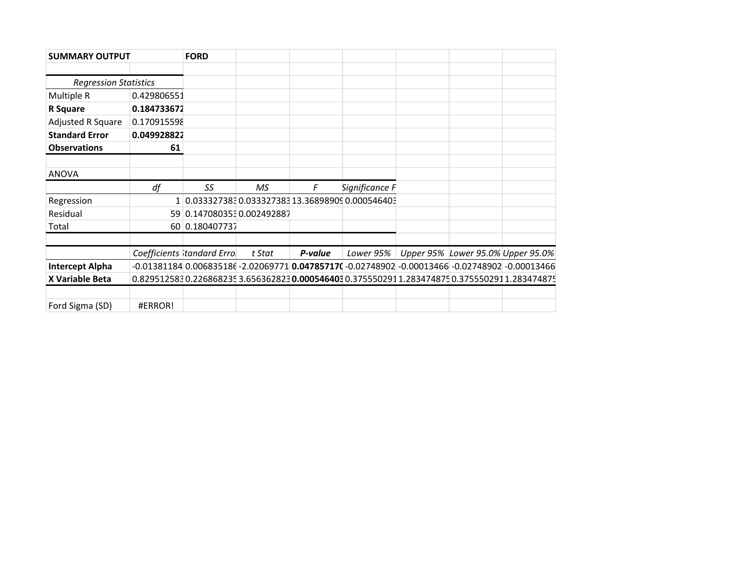| <b>SUMMARY OUTPUT</b>        |             | <b>FORD</b>                                       |        |         |                |  |                                                                                                                |
|------------------------------|-------------|---------------------------------------------------|--------|---------|----------------|--|----------------------------------------------------------------------------------------------------------------|
|                              |             |                                                   |        |         |                |  |                                                                                                                |
| <b>Regression Statistics</b> |             |                                                   |        |         |                |  |                                                                                                                |
| Multiple R                   | 0.429806551 |                                                   |        |         |                |  |                                                                                                                |
| R Square                     | 0.184733672 |                                                   |        |         |                |  |                                                                                                                |
| Adjusted R Square            | 0.170915598 |                                                   |        |         |                |  |                                                                                                                |
| <b>Standard Error</b>        | 0.049928822 |                                                   |        |         |                |  |                                                                                                                |
| <b>Observations</b>          | 61          |                                                   |        |         |                |  |                                                                                                                |
|                              |             |                                                   |        |         |                |  |                                                                                                                |
| <b>ANOVA</b>                 |             |                                                   |        |         |                |  |                                                                                                                |
|                              | df          | SS                                                | MS.    | F       | Significance F |  |                                                                                                                |
| Regression                   |             | 1 0.033327383 0.033327383 13.36898909 0.000546403 |        |         |                |  |                                                                                                                |
| Residual                     |             | 59 0.147080353 0.002492887                        |        |         |                |  |                                                                                                                |
| Total                        |             | 60 0.180407737                                    |        |         |                |  |                                                                                                                |
|                              |             |                                                   |        |         |                |  |                                                                                                                |
|                              |             | Coefficients tandard Errol                        | t Stat | P-value | Lower 95%      |  | Upper 95% Lower 95.0% Upper 95.0%                                                                              |
| <b>Intercept Alpha</b>       |             |                                                   |        |         |                |  | $-0.01381184$ $0.006835186$ $-2.02069771$ $0.04785717$ $-0.02748902$ $-0.00013466$ $-0.02748902$ $-0.00013466$ |
| X Variable Beta              |             |                                                   |        |         |                |  | 0.8295125830.2268682353.6563628230.0005464030.3755502911.2834748750.3755502911.283474875                       |
|                              |             |                                                   |        |         |                |  |                                                                                                                |
|                              |             |                                                   |        |         |                |  |                                                                                                                |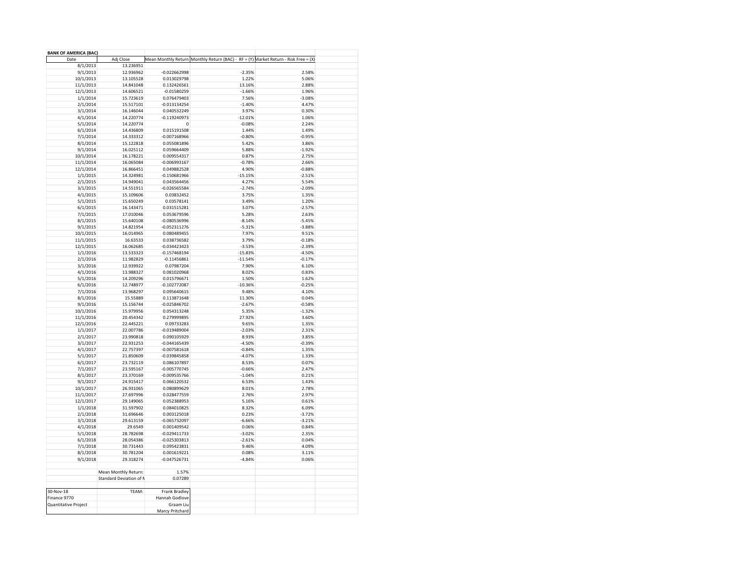| <b>BANK OF AMERICA (BAC)</b> |                         |                 |                                                                                     |          |
|------------------------------|-------------------------|-----------------|-------------------------------------------------------------------------------------|----------|
| Date                         | Adj Close               |                 | Mean Monthly Return Monthly Return (BAC) - RF = (Y) Market Return - Risk Free = (X) |          |
| 8/1/2013                     | 13.236951               |                 |                                                                                     |          |
| 9/1/2013                     | 12.936962               | $-0.022662998$  | $-2.35%$                                                                            | 2.58%    |
| 10/1/2013                    | 13.105528               | 0.013029798     | 1.22%                                                                               | 5.06%    |
| 11/1/2013                    | 14.841048               | 0.132426561     | 13.16%                                                                              | 2.88%    |
| 12/1/2013                    | 14.606521               | $-0.01580259$   | $-1.66%$                                                                            | 1.96%    |
| 1/1/2014                     | 15.723619               | 0.076479403     | 7.56%                                                                               | $-3.08%$ |
| 2/1/2014                     | 15.517101               | $-0.013134254$  | $-1.40%$                                                                            | 4.47%    |
|                              |                         |                 |                                                                                     |          |
| 3/1/2014                     | 16.146044               | 0.040532249     | 3.97%                                                                               | 0.30%    |
| 4/1/2014                     | 14.220774               | $-0.119240973$  | $-12.01%$                                                                           | 1.06%    |
| 5/1/2014                     | 14.220774               | $\mathbf 0$     | $-0.08%$                                                                            | 2.24%    |
| 6/1/2014                     | 14.436809               | 0.015191508     | 1.44%                                                                               | 1.49%    |
| 7/1/2014                     | 14.333312               | $-0.007168966$  | $-0.80%$                                                                            | $-0.95%$ |
| 8/1/2014                     | 15.122818               | 0.055081896     | 5.42%                                                                               | 3.86%    |
| 9/1/2014                     | 16.025112               | 0.059664409     | 5.88%                                                                               | $-1.92%$ |
| 10/1/2014                    | 16.178221               | 0.009554317     | 0.87%                                                                               | 2.75%    |
| 11/1/2014                    | 16.065084               | $-0.006993167$  | $-0.78%$                                                                            | 2.66%    |
| 12/1/2014                    | 16.866451               | 0.049882528     | 4.90%                                                                               | $-0.88%$ |
| 1/1/2015                     | 14.324981               | $-0.150681966$  | $-15.15%$                                                                           | $-2.51%$ |
|                              | 14.949041               |                 | 4.27%                                                                               |          |
| 2/1/2015                     |                         | 0.043564456     |                                                                                     | 5.54%    |
| 3/1/2015                     | 14.551911               | -0.026565584    | $-2.74%$                                                                            | $-2.09%$ |
| 4/1/2015                     | 15.109606               | 0.03832452      | 3.75%                                                                               | 1.35%    |
| 5/1/2015                     | 15.650249               | 0.03578141      | 3.49%                                                                               | 1.20%    |
| 6/1/2015                     | 16.143471               | 0.031515281     | 3.07%                                                                               | $-2.57%$ |
| 7/1/2015                     | 17.010046               | 0.053679596     | 5.28%                                                                               | 2.63%    |
| 8/1/2015                     | 15.640108               | $-0.080536996$  | $-8.14%$                                                                            | $-5.45%$ |
| 9/1/2015                     | 14.821954               | $-0.052311276$  | $-5.31%$                                                                            | $-3.88%$ |
| 10/1/2015                    | 16.014965               | 0.080489455     | 7.97%                                                                               | 9.51%    |
| 11/1/2015                    | 16.63533                | 0.038736582     | 3.79%                                                                               | $-0.18%$ |
| 12/1/2015                    | 16.062685               | $-0.034423423$  | $-3.53%$                                                                            | $-2.39%$ |
|                              | 13.533323               | $-0.157468194$  | $-15.83%$                                                                           | $-4.50%$ |
| 1/1/2016                     |                         |                 |                                                                                     |          |
| 2/1/2016                     | 11.982829               | $-0.11456861$   | $-11.54%$                                                                           | $-0.17%$ |
| 3/1/2016                     | 12.939922               | 0.07987204      | 7.90%                                                                               | 6.10%    |
| 4/1/2016                     | 13.988327               | 0.081020968     | 8.02%                                                                               | 0.83%    |
| 5/1/2016                     | 14.209296               | 0.015796671     | 1.50%                                                                               | 1.62%    |
| 6/1/2016                     | 12.748977               | $-0.102772087$  | $-10.36%$                                                                           | $-0.25%$ |
| 7/1/2016                     | 13.968297               | 0.095640615     | 9.48%                                                                               | 4.10%    |
| 8/1/2016                     | 15.55889                | 0.113871648     | 11.30%                                                                              | 0.04%    |
| 9/1/2016                     | 15.156744               | -0.025846702    | $-2.67%$                                                                            | $-0.58%$ |
| 10/1/2016                    | 15.979956               | 0.054313248     | 5.35%                                                                               | $-1.32%$ |
|                              | 20.454342               | 0.279999895     | 27.92%                                                                              | 3.60%    |
| 11/1/2016                    |                         |                 |                                                                                     |          |
| 12/1/2016                    | 22.445221               | 0.09733283      | 9.65%                                                                               | 1.35%    |
| 1/1/2017                     | 22.007786               | $-0.019489004$  | $-2.03%$                                                                            | 2.31%    |
| 2/1/2017                     | 23.990818               | 0.090105929     | 8.93%                                                                               | 3.85%    |
| 3/1/2017                     | 22.931253               | -0.044165439    | -4.50%                                                                              | -0.39%   |
| 4/1/2017                     | 22.757397               | -0.007581618    | -0.84%                                                                              | 1.35%    |
| 5/1/2017                     | 21.850609               | $-0.039845858$  | $-4.07%$                                                                            | 1.33%    |
| 6/1/2017                     | 23.732119               | 0.086107897     | 8.53%                                                                               | 0.07%    |
| 7/1/2017                     | 23.595167               | $-0.005770745$  | $-0.66%$                                                                            | 2.47%    |
| 8/1/2017                     | 23.370169               | $-0.009535766$  | $-1.04%$                                                                            | 0.21%    |
|                              | 24.915417               | 0.066120532     |                                                                                     | 1.43%    |
| 9/1/2017                     |                         |                 | 6.53%                                                                               |          |
| 10/1/2017                    | 26.931065               | 0.080899629     | 8.01%                                                                               | 2.78%    |
| 11/1/2017                    | 27.697996               | 0.028477559     | 2.76%                                                                               | 2.97%    |
| 12/1/2017                    | 29.149065               | 0.052388953     | 5.16%                                                                               | 0.61%    |
| 1/1/2018                     | 31.597902               | 0.084010825     | 8.32%                                                                               | 6.09%    |
| 2/1/2018                     | 31.696646               | 0.003125018     | 0.23%                                                                               | $-3.72%$ |
| 3/1/2018                     | 29.613159               | -0.065732097    | -6.66%                                                                              | -3.21%   |
| 4/1/2018                     | 29.6549                 | 0.001409542     | 0.06%                                                                               | 0.84%    |
| 5/1/2018                     | 28.782698               | $-0.029411733$  | $-3.02%$                                                                            | 2.35%    |
|                              |                         |                 |                                                                                     |          |
| 6/1/2018                     | 28.054386               | $-0.025303813$  | $-2.61%$                                                                            | 0.04%    |
| 7/1/2018                     | 30.731443               | 0.095423831     | 9.46%                                                                               | 4.09%    |
| 8/1/2018                     | 30.781204               | 0.001619221     | 0.08%                                                                               | 3.11%    |
| 9/1/2018                     | 29.318274               | $-0.047526731$  | $-4.84%$                                                                            | 0.06%    |
|                              |                         |                 |                                                                                     |          |
|                              | Mean Monthly Return:    | 1.57%           |                                                                                     |          |
|                              | Standard Deviation of N | 0.07289         |                                                                                     |          |
|                              |                         |                 |                                                                                     |          |
| 30-Nov-18                    | TEAM:                   | Frank Bradley   |                                                                                     |          |
|                              |                         |                 |                                                                                     |          |
| Finance 9770                 |                         | Hannah Godlove  |                                                                                     |          |
| Quantitative Project         |                         | Graam Liu       |                                                                                     |          |
|                              |                         | Marcy Pritchard |                                                                                     |          |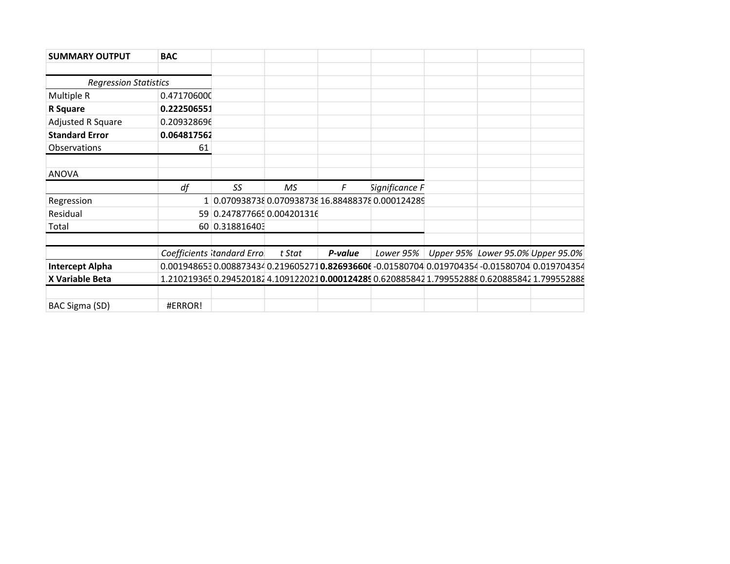| <b>SUMMARY OUTPUT</b>        | <b>BAC</b>  |                            |        |         |                                                   |  |                                                                                            |
|------------------------------|-------------|----------------------------|--------|---------|---------------------------------------------------|--|--------------------------------------------------------------------------------------------|
|                              |             |                            |        |         |                                                   |  |                                                                                            |
| <b>Regression Statistics</b> |             |                            |        |         |                                                   |  |                                                                                            |
| Multiple R                   | 0.471706000 |                            |        |         |                                                   |  |                                                                                            |
| R Square                     | 0.222506551 |                            |        |         |                                                   |  |                                                                                            |
| Adjusted R Square            | 0.209328696 |                            |        |         |                                                   |  |                                                                                            |
| <b>Standard Error</b>        | 0.064817562 |                            |        |         |                                                   |  |                                                                                            |
| Observations                 | 61          |                            |        |         |                                                   |  |                                                                                            |
|                              |             |                            |        |         |                                                   |  |                                                                                            |
| <b>ANOVA</b>                 |             |                            |        |         |                                                   |  |                                                                                            |
|                              | df          | SS                         | MS.    | F       | Significance F                                    |  |                                                                                            |
| Regression                   |             |                            |        |         | 1 0.070938738 0.070938738 16.88488378 0.000124289 |  |                                                                                            |
| Residual                     |             | 59 0.247877665 0.004201316 |        |         |                                                   |  |                                                                                            |
| Total                        |             | 60 0.318816403             |        |         |                                                   |  |                                                                                            |
|                              |             |                            |        |         |                                                   |  |                                                                                            |
|                              |             | Coefficients tandard Erro  | t Stat | P-value | Lower 95%                                         |  | Upper 95% Lower 95.0% Upper 95.0%                                                          |
| <b>Intercept Alpha</b>       |             |                            |        |         |                                                   |  | 0.0019486530.0088734340.2196052710.826936606-0.01580704 0.019704354-0.01580704 0.019704354 |
| X Variable Beta              |             |                            |        |         |                                                   |  | 1.2102193650.294520182 4.1091220210.0001242890.6208858421.7995528880.6208858421.799552888  |
|                              |             |                            |        |         |                                                   |  |                                                                                            |
| BAC Sigma (SD)               | #ERROR!     |                            |        |         |                                                   |  |                                                                                            |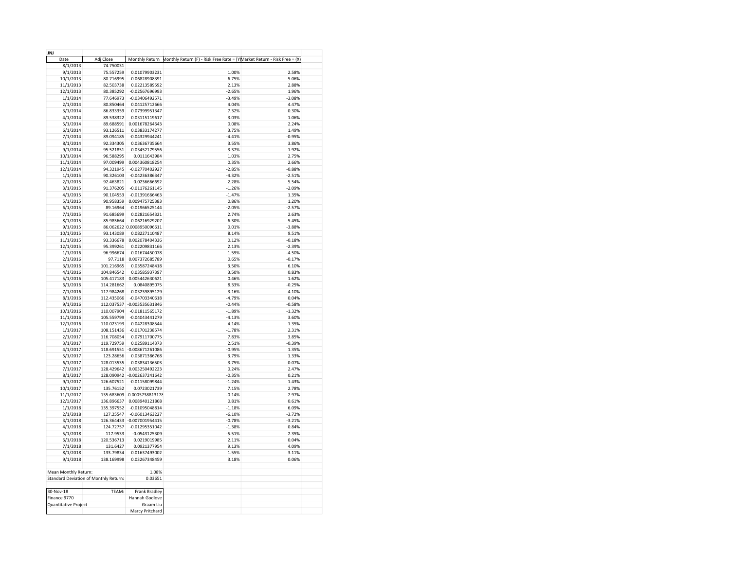| JNJ                                   |            |                             |                                                                                          |          |
|---------------------------------------|------------|-----------------------------|------------------------------------------------------------------------------------------|----------|
| Date                                  | Adj Close  |                             | Monthly Return Monthly Return (F) - Risk Free Rate = (Y) Market Return - Risk Free = (X) |          |
| 8/1/2013                              | 74.750031  |                             |                                                                                          |          |
| 9/1/2013                              | 75.557259  | 0.01079903231               | 1.00%                                                                                    | 2.58%    |
| 10/1/2013                             | 80.716995  | 0.06828908391               | 6.75%                                                                                    | 5.06%    |
|                                       |            | 0.02213589592               | 2.13%                                                                                    |          |
| 11/1/2013                             | 82.503738  |                             |                                                                                          | 2.88%    |
| 12/1/2013                             | 80.385292  | $-0.02567696993$            | $-2.65%$                                                                                 | 1.96%    |
| 1/1/2014                              | 77.646973  | $-0.03406492571$            | $-3.49%$                                                                                 | $-3.08%$ |
| 2/1/2014                              | 80.850464  | 0.04125712666               | 4.04%                                                                                    | 4.47%    |
| 3/1/2014                              | 86.833359  | 0.07399951347               | 7.32%                                                                                    | 0.30%    |
| 4/1/2014                              | 89.538322  | 0.03115119617               | 3.03%                                                                                    | 1.06%    |
| 5/1/2014                              | 89.688591  | 0.001678264643              | 0.08%                                                                                    | 2.24%    |
| 6/1/2014                              | 93.126511  | 0.03833174277               | 3.75%                                                                                    | 1.49%    |
| 7/1/2014                              | 89.094185  | $-0.04329944241$            | $-4.41%$                                                                                 | $-0.95%$ |
| 8/1/2014                              | 92.334305  | 0.03636735664               | 3.55%                                                                                    | 3.86%    |
| 9/1/2014                              | 95.521851  | 0.03452179556               | 3.37%                                                                                    | $-1.92%$ |
|                                       |            |                             |                                                                                          |          |
| 10/1/2014                             | 96.588295  | 0.0111643984                | 1.03%                                                                                    | 2.75%    |
| 11/1/2014                             | 97.009499  | 0.004360818254              | 0.35%                                                                                    | 2.66%    |
| 12/1/2014                             | 94.321945  | -0.02770402927              | $-2.85%$                                                                                 | $-0.88%$ |
| 1/1/2015                              | 90.326103  | -0.04236386347              | $-4.32%$                                                                                 | $-2.51%$ |
| 2/1/2015                              | 92.463821  | 0.0236666692                | 2.28%                                                                                    | 5.54%    |
| 3/1/2015                              | 91.376205  | $-0.01176261145$            | $-1.26%$                                                                                 | $-2.09%$ |
| 4/1/2015                              | 90.104553  | $-0.01391666463$            | $-1.47%$                                                                                 | 1.35%    |
| 5/1/2015                              | 90.958359  | 0.009475725383              | 0.86%                                                                                    | 1.20%    |
| 6/1/2015                              | 89.16964   | $-0.01966525144$            | $-2.05%$                                                                                 | $-2.57%$ |
| 7/1/2015                              | 91.685699  | 0.02821654321               | 2.74%                                                                                    | 2.63%    |
|                                       |            |                             |                                                                                          |          |
| 8/1/2015                              | 85.985664  | $-0.06216929207$            | $-6.30%$                                                                                 | $-5.45%$ |
| 9/1/2015                              |            | 86.062622 0.0008950096611   | 0.01%                                                                                    | $-3.88%$ |
| 10/1/2015                             | 93.143089  | 0.08227110487               | 8.14%                                                                                    | 9.51%    |
| 11/1/2015                             |            | 93.336678  0.002078404336   | 0.12%                                                                                    | $-0.18%$ |
| 12/1/2015                             | 95.399261  | 0.02209831166               | 2.13%                                                                                    | $-2.39%$ |
| 1/1/2016                              | 96.996674  | 0.01674450078               | 1.59%                                                                                    | $-4.50%$ |
| 2/1/2016                              | 97.7118    | 0.007372685789              | 0.65%                                                                                    | $-0.17%$ |
| 3/1/2016                              | 101.216965 | 0.03587248418               | 3.50%                                                                                    | 6.10%    |
| 4/1/2016                              | 104.846542 | 0.03585937397               | 3.50%                                                                                    | 0.83%    |
| 5/1/2016                              | 105.417183 | 0.005442630621              | 0.46%                                                                                    | 1.62%    |
| 6/1/2016                              | 114.281662 | 0.0840895075                | 8.33%                                                                                    | $-0.25%$ |
|                                       | 117.984268 | 0.03239895129               | 3.16%                                                                                    | 4.10%    |
| 7/1/2016                              |            |                             |                                                                                          |          |
| 8/1/2016                              | 112.435066 | $-0.04703340618$            | $-4.79%$                                                                                 | 0.04%    |
| 9/1/2016                              |            | 112.037537 -0.003535631846  | $-0.44%$                                                                                 | $-0.58%$ |
| 10/1/2016                             | 110.007904 | $-0.01811565172$            | $-1.89%$                                                                                 | $-1.32%$ |
| 11/1/2016                             | 105.559799 | $-0.04043441279$            | $-4.13%$                                                                                 | 3.60%    |
| 12/1/2016                             | 110.023193 | 0.04228308544               | 4.14%                                                                                    | 1.35%    |
| 1/1/2017                              | 108.151436 | -0.01701238574              | $-1.78%$                                                                                 | 2.31%    |
| 2/1/2017                              | 116.708054 | 0.07911700775               | 7.83%                                                                                    | 3.85%    |
| 3/1/2017                              | 119.729759 | 0.02589114373               | 2.51%                                                                                    | $-0.39%$ |
| 4/1/2017                              |            | 118.691551 -0.008671261086  | $-0.95%$                                                                                 | 1.35%    |
| 5/1/2017                              | 123.28656  | 0.03871386768               | 3.79%                                                                                    | 1.33%    |
|                                       |            |                             |                                                                                          |          |
| 6/1/2017                              | 128.013535 | 0.03834136503               | 3.75%                                                                                    | 0.07%    |
| 7/1/2017                              | 128.429642 | 0.003250492223              | 0.24%                                                                                    | 2.47%    |
| 8/1/2017                              |            | 128.090942 -0.002637241642  | $-0.35%$                                                                                 | 0.21%    |
| 9/1/2017                              | 126.607521 | $-0.01158099844$            | $-1.24%$                                                                                 | 1.43%    |
| 10/1/2017                             | 135.76152  | 0.0723021739                | 7.15%                                                                                    | 2.78%    |
| 11/1/2017                             |            | 135.683609 -0.0005738813178 | $-0.14%$                                                                                 | 2.97%    |
| 12/1/2017                             | 136.896637 | 0.008940121868              | 0.81%                                                                                    | 0.61%    |
| 1/1/2018                              | 135.397552 | $-0.01095048814$            | $-1.18%$                                                                                 | 6.09%    |
| 2/1/2018                              | 127.25547  | -0.06013463227              | $-6.10%$                                                                                 | $-3.72%$ |
| 3/1/2018                              |            | 126.364433 -0.007001954415  | $-0.78%$                                                                                 | $-3.21%$ |
|                                       |            | $-0.01295351042$            |                                                                                          | 0.84%    |
| 4/1/2018                              | 124.72757  |                             | $-1.38%$                                                                                 |          |
| 5/1/2018                              | 117.9533   | $-0.0543125309$             | $-5.51%$                                                                                 | 2.35%    |
| 6/1/2018                              | 120.536713 | 0.0219019985                | 2.11%                                                                                    | 0.04%    |
| 7/1/2018                              | 131.6427   | 0.0921377954                | 9.13%                                                                                    | 4.09%    |
| 8/1/2018                              | 133.79834  | 0.01637493002               | 1.55%                                                                                    | 3.11%    |
| 9/1/2018                              | 138.169998 | 0.03267348459               | 3.18%                                                                                    | 0.06%    |
|                                       |            |                             |                                                                                          |          |
| Mean Monthly Return:                  |            | 1.08%                       |                                                                                          |          |
| Standard Deviation of Monthly Return: |            | 0.03651                     |                                                                                          |          |
|                                       |            |                             |                                                                                          |          |
| 30-Nov-18                             | TEAM:      |                             |                                                                                          |          |
|                                       |            | Frank Bradley               |                                                                                          |          |
| Finance 9770                          |            | Hannah Godlove              |                                                                                          |          |
| Quantitative Project                  |            | Graam Liu                   |                                                                                          |          |
|                                       |            | Marcy Pritchard             |                                                                                          |          |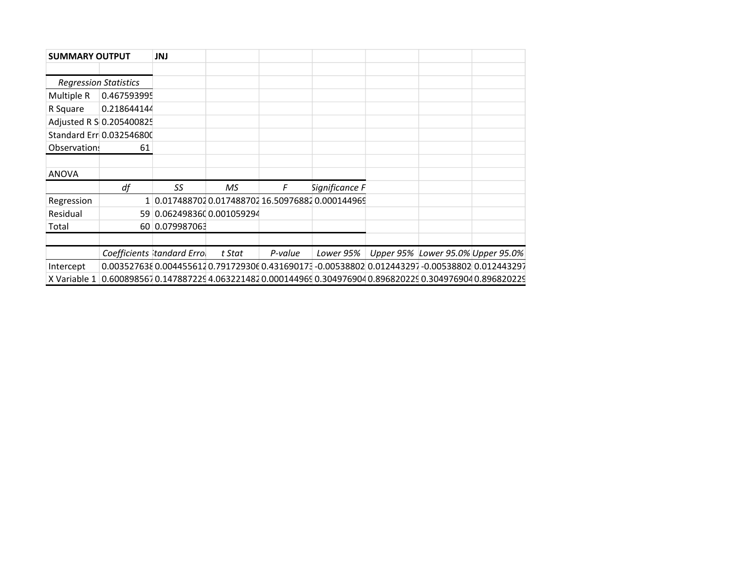| <b>SUMMARY OUTPUT</b>        |                          | JNJ                        |        |         |                                                                                                 |                                   |  |
|------------------------------|--------------------------|----------------------------|--------|---------|-------------------------------------------------------------------------------------------------|-----------------------------------|--|
|                              |                          |                            |        |         |                                                                                                 |                                   |  |
| <b>Regression Statistics</b> |                          |                            |        |         |                                                                                                 |                                   |  |
| Multiple R                   | 0.467593995              |                            |        |         |                                                                                                 |                                   |  |
| R Square                     | 0.218644144              |                            |        |         |                                                                                                 |                                   |  |
|                              | Adjusted R S 0.205400825 |                            |        |         |                                                                                                 |                                   |  |
|                              | Standard Err 0.032546800 |                            |        |         |                                                                                                 |                                   |  |
| Observation!                 | 61                       |                            |        |         |                                                                                                 |                                   |  |
|                              |                          |                            |        |         |                                                                                                 |                                   |  |
| <b>ANOVA</b>                 |                          |                            |        |         |                                                                                                 |                                   |  |
|                              | df                       | SS                         | MS.    | F       | Significance F                                                                                  |                                   |  |
| Regression                   |                          |                            |        |         | 1 0.017488702 0.017488702 16.50976882 0.000144969                                               |                                   |  |
| Residual                     |                          | 59 0.062498360 0.001059294 |        |         |                                                                                                 |                                   |  |
| Total                        |                          | 60 0.079987063             |        |         |                                                                                                 |                                   |  |
|                              |                          |                            |        |         |                                                                                                 |                                   |  |
|                              |                          | Coefficients tandard Errol | t Stat | P-value | Lower 95%                                                                                       | Upper 95% Lower 95.0% Upper 95.0% |  |
| Intercept                    |                          |                            |        |         | 0.0035276380.0044556120.7917293060.431690173-0.005388020.012443297-0.005388020.012443297        |                                   |  |
| X Variable 1                 |                          |                            |        |         | 0.600898567 0.147887229 4.063221482 0.000144969 0.304976904 0.896820229 0.304976904 0.896820229 |                                   |  |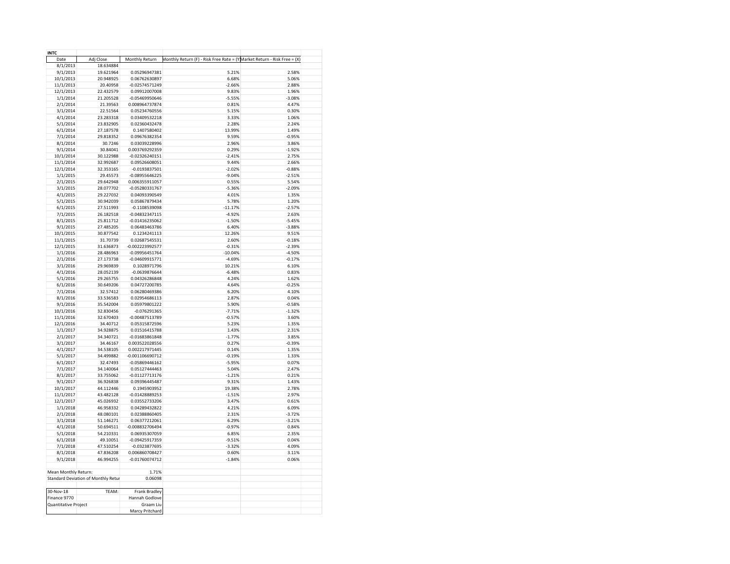| <b>INTC</b>          |                                     |                   |                                                                           |          |  |
|----------------------|-------------------------------------|-------------------|---------------------------------------------------------------------------|----------|--|
| Date                 | Adj Close                           | Monthly Return    | Monthly Return (F) - Risk Free Rate = (Y) Market Return - Risk Free = (X) |          |  |
| 8/1/2013             | 18.634884                           |                   |                                                                           |          |  |
| 9/1/2013             | 19.621964                           | 0.05296947381     | 5.21%                                                                     | 2.58%    |  |
|                      | 20.948925                           | 0.06762630897     | 6.68%                                                                     | 5.06%    |  |
| 10/1/2013            |                                     |                   |                                                                           |          |  |
| 11/1/2013            | 20.40958                            | -0.02574571249    | $-2.66%$                                                                  | 2.88%    |  |
| 12/1/2013            | 22.432579                           | 0.09912007008     | 9.83%                                                                     | 1.96%    |  |
| 1/1/2014             | 21.205528                           | 0.05469950646     | $-5.55%$                                                                  | $-3.08%$ |  |
| 2/1/2014             | 21.39563                            | 0.008964737874    | 0.81%                                                                     | 4.47%    |  |
| 3/1/2014             | 22.51564                            | 0.05234760556     | 5.15%                                                                     | 0.30%    |  |
| 4/1/2014             | 23.283318                           | 0.03409532218     | 3.33%                                                                     | 1.06%    |  |
| 5/1/2014             | 23.832905                           | 0.02360432478     | 2.28%                                                                     | 2.24%    |  |
| 6/1/2014             | 27.187578                           | 0.1407580402      | 13.99%                                                                    | 1.49%    |  |
| 7/1/2014             | 29.818352                           | 0.09676382354     | 9.59%                                                                     | $-0.95%$ |  |
| 8/1/2014             | 30.7246                             | 0.03039228996     | 2.96%                                                                     | 3.86%    |  |
| 9/1/2014             | 30.84041                            | 0.003769292359    | 0.29%                                                                     | $-1.92%$ |  |
| 10/1/2014            | 30.122988                           | -0.02326240151    | $-2.41%$                                                                  | 2.75%    |  |
|                      |                                     | 0.09526608051     | 9.44%                                                                     |          |  |
| 11/1/2014            | 32.992687                           |                   |                                                                           | 2.66%    |  |
| 12/1/2014            | 32.353165                           | -0.0193837501     | $-2.02%$                                                                  | $-0.88%$ |  |
| 1/1/2015             | 29.45573                            | -0.08955646225    | $-9.04%$                                                                  | $-2.51%$ |  |
| 2/1/2015             | 29.642948                           | 0.006355911057    | 0.55%                                                                     | 5.54%    |  |
| 3/1/2015             | 28.077702                           | -0.05280331767    | $-5.36%$                                                                  | $-2.09%$ |  |
| 4/1/2015             | 29.227032                           | 0.04093390549     | 4.01%                                                                     | 1.35%    |  |
| 5/1/2015             | 30.942039                           | 0.05867879434     | 5.78%                                                                     | 1.20%    |  |
| 6/1/2015             | 27.511993                           | $-0.1108539098$   | $-11.17%$                                                                 | $-2.57%$ |  |
| 7/1/2015             | 26.182518                           | -0.04832347115    | $-4.92%$                                                                  | 2.63%    |  |
| 8/1/2015             | 25.811712                           | $-0.01416235062$  | $-1.50%$                                                                  | $-5.45%$ |  |
| 9/1/2015             | 27.485205                           | 0.06483463786     | 6.40%                                                                     | $-3.88%$ |  |
| 10/1/2015            | 30.877542                           | 0.1234241113      | 12.26%                                                                    | 9.51%    |  |
|                      |                                     |                   |                                                                           |          |  |
| 11/1/2015            | 31.70739                            | 0.02687545531     | 2.60%                                                                     | $-0.18%$ |  |
| 12/1/2015            | 31.636873                           | -0.002223992577   | $-0.31%$                                                                  | $-2.39%$ |  |
| 1/1/2016             | 28.486963                           | $-0.09956451764$  | $-10.04%$                                                                 | $-4.50%$ |  |
| 2/1/2016             | 27.173738                           | -0.04609915771    | $-4.69%$                                                                  | $-0.17%$ |  |
| 3/1/2016             | 29.969839                           | 0.1028971796      | 10.21%                                                                    | 6.10%    |  |
| 4/1/2016             | 28.052139                           | $-0.0639876644$   | $-6.48%$                                                                  | 0.83%    |  |
| 5/1/2016             | 29.265755                           | 0.04326286848     | 4.24%                                                                     | 1.62%    |  |
| 6/1/2016             | 30.649206                           | 0.04727200785     | 4.64%                                                                     | $-0.25%$ |  |
| 7/1/2016             | 32.57412                            | 0.06280469386     | 6.20%                                                                     | 4.10%    |  |
| 8/1/2016             | 33.536583                           | 0.02954686113     | 2.87%                                                                     | 0.04%    |  |
| 9/1/2016             | 35.542004                           | 0.05979801222     | 5.90%                                                                     | $-0.58%$ |  |
|                      |                                     |                   | $-7.71%$                                                                  |          |  |
| 10/1/2016            | 32.830456                           | $-0.076291365$    |                                                                           | $-1.32%$ |  |
| 11/1/2016            | 32.670403                           | $-0.00487513789$  | $-0.57%$                                                                  | 3.60%    |  |
| 12/1/2016            | 34.40712                            | 0.05315872596     | 5.23%                                                                     | 1.35%    |  |
| 1/1/2017             | 34.928875                           | 0.01516415788     | 1.43%                                                                     | 2.31%    |  |
| 2/1/2017             | 34.340721                           | 0.01683861848     | $-1.77%$                                                                  | 3.85%    |  |
| 3/1/2017             | 34.46167                            | 0.003522028556    | 0.27%                                                                     | $-0.39%$ |  |
| 4/1/2017             | 34.538105                           | 0.002217971445    | 0.14%                                                                     | 1.35%    |  |
| 5/1/2017             | 34.499882                           | $-0.001106690712$ | $-0.19%$                                                                  | 1.33%    |  |
| 6/1/2017             | 32.47493                            | $-0.05869446162$  | $-5.95%$                                                                  | 0.07%    |  |
| 7/1/2017             | 34.140064                           | 0.05127444463     | 5.04%                                                                     | 2.47%    |  |
| 8/1/2017             | 33.755062                           | -0.01127713176    | $-1.21%$                                                                  | 0.21%    |  |
| 9/1/2017             | 36.926838                           | 0.09396445487     | 9.31%                                                                     | 1.43%    |  |
|                      |                                     |                   |                                                                           |          |  |
| 10/1/2017            | 44.112446                           | 0.1945903952      | 19.38%                                                                    | 2.78%    |  |
| 11/1/2017            | 43.482128                           | $-0.01428889253$  | $-1.51%$                                                                  | 2.97%    |  |
| 12/1/2017            | 45.026932                           | 0.03552733206     | 3.47%                                                                     | 0.61%    |  |
| 1/1/2018             | 46.958332                           | 0.04289432822     | 4.21%                                                                     | 6.09%    |  |
| 2/1/2018             | 48.080101                           | 0.02388860405     | 2.31%                                                                     | $-3.72%$ |  |
| 3/1/2018             | 51.146271                           | 0.06377212061     | 6.29%                                                                     | $-3.21%$ |  |
| 4/1/2018             | 50.694511                           | -0.008832706494   | $-0.97%$                                                                  | 0.84%    |  |
| 5/1/2018             | 54.210331                           | 0.06935307059     | 6.85%                                                                     | 2.35%    |  |
| 6/1/2018             | 49.10051                            | -0.09425917359    | $-9.51%$                                                                  | 0.04%    |  |
| 7/1/2018             | 47.510254                           | -0.0323877695     | $-3.32%$                                                                  | 4.09%    |  |
| 8/1/2018             | 47.836208                           | 0.006860708427    | 0.60%                                                                     | 3.11%    |  |
|                      |                                     |                   |                                                                           |          |  |
| 9/1/2018             | 46.994255                           | -0.01760074712    | $-1.84%$                                                                  | 0.06%    |  |
|                      |                                     |                   |                                                                           |          |  |
| Mean Monthly Return: |                                     | 1.71%             |                                                                           |          |  |
|                      | Standard Deviation of Monthly Retur | 0.06098           |                                                                           |          |  |
|                      |                                     |                   |                                                                           |          |  |
| 30-Nov-18            | TEAM:                               | Frank Bradley     |                                                                           |          |  |
| Finance 9770         |                                     | Hannah Godlove    |                                                                           |          |  |
| Quantitative Project |                                     | Graam Liu         |                                                                           |          |  |
|                      |                                     | Marcy Pritchard   |                                                                           |          |  |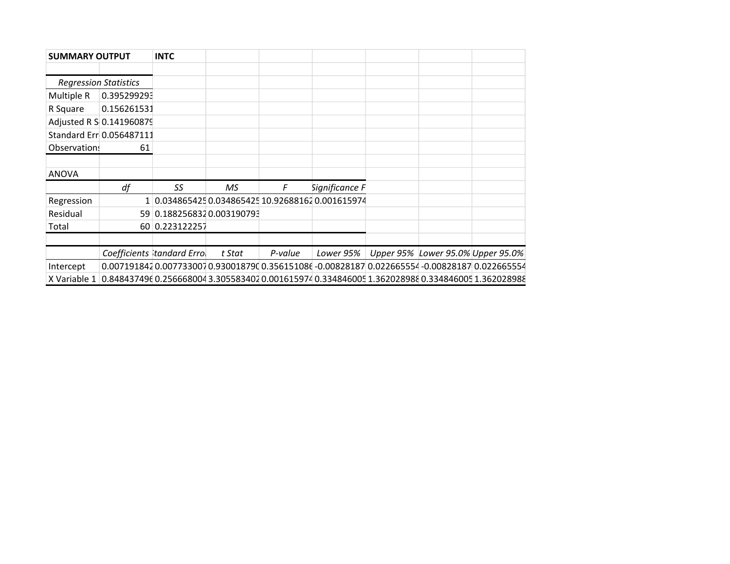| <b>SUMMARY OUTPUT</b> |                              | <b>INTC</b>                |           |         |                                                                                                 |                                   |  |
|-----------------------|------------------------------|----------------------------|-----------|---------|-------------------------------------------------------------------------------------------------|-----------------------------------|--|
|                       |                              |                            |           |         |                                                                                                 |                                   |  |
|                       | <b>Regression Statistics</b> |                            |           |         |                                                                                                 |                                   |  |
| Multiple R            | 0.395299293                  |                            |           |         |                                                                                                 |                                   |  |
| R Square              | 0.156261531                  |                            |           |         |                                                                                                 |                                   |  |
|                       | Adjusted R S 0.141960879     |                            |           |         |                                                                                                 |                                   |  |
|                       | Standard Err 0.056487111     |                            |           |         |                                                                                                 |                                   |  |
| Observation!          | 61                           |                            |           |         |                                                                                                 |                                   |  |
|                       |                              |                            |           |         |                                                                                                 |                                   |  |
| <b>ANOVA</b>          |                              |                            |           |         |                                                                                                 |                                   |  |
|                       | df                           | SS                         | <b>MS</b> | F       | Significance F                                                                                  |                                   |  |
| Regression            |                              |                            |           |         | 0.034865425 0.034865425 10.92688162 0.001615974                                                 |                                   |  |
| Residual              |                              | 59 0.188256832 0.003190793 |           |         |                                                                                                 |                                   |  |
| Total                 |                              | 60 0.223122257             |           |         |                                                                                                 |                                   |  |
|                       |                              |                            |           |         |                                                                                                 |                                   |  |
|                       |                              | Coefficients tandard Errol | t Stat    | P-value | Lower 95%                                                                                       | Upper 95% Lower 95.0% Upper 95.0% |  |
| Intercept             |                              |                            |           |         | 0.0071918420.0077330070.9300187900.356151086-0.008281870.022665554-0.008281870.022665554        |                                   |  |
| X Variable 1          |                              |                            |           |         | 0.848437496 0.256668004 3.305583402 0.001615974 0.334846005 1.362028988 0.334846005 1.362028988 |                                   |  |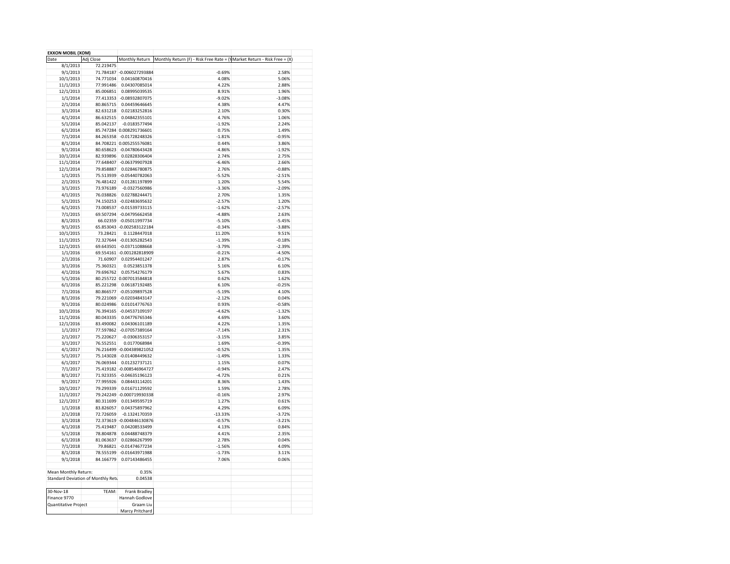| <b>EXXON MOBIL (XOM)</b> |                                    |                           |                                                                                                    |          |  |
|--------------------------|------------------------------------|---------------------------|----------------------------------------------------------------------------------------------------|----------|--|
| Date                     | Adj Close                          |                           | Monthly Return   Monthly Return (F) - Risk Free Rate = ( $\sqrt{}$ Market Return - Risk Free = (X) |          |  |
| 8/1/2013                 | 72.219475                          |                           |                                                                                                    |          |  |
| 9/1/2013                 |                                    | 71.784187 -0.006027293884 | $-0.69%$                                                                                           | 2.58%    |  |
| 10/1/2013                | 74.771034                          | 0.04160870416             | 4.08%                                                                                              | 5.06%    |  |
| 11/1/2013                | 77.991486                          | 0.04307085014             | 4.22%                                                                                              | 2.88%    |  |
|                          | 85.006851                          | 0.08995039535             | 8.91%                                                                                              | 1.96%    |  |
| 12/1/2013                |                                    |                           |                                                                                                    |          |  |
| 1/1/2014                 | 77.413353                          | -0.08932807075            | $-9.02%$                                                                                           | $-3.08%$ |  |
| 2/1/2014                 | 80.865715                          | 0.04459646645             | 4.38%                                                                                              | 4.47%    |  |
| 3/1/2014                 | 82.631218                          | 0.02183252816             | 2.10%                                                                                              | 0.30%    |  |
| 4/1/2014                 | 86.632515                          | 0.04842355101             | 4.76%                                                                                              | 1.06%    |  |
| 5/1/2014                 | 85.042137                          | $-0.0183577494$           | $-1.92%$                                                                                           | 2.24%    |  |
| 6/1/2014                 |                                    | 85.747284 0.008291736601  | 0.75%                                                                                              | 1.49%    |  |
| 7/1/2014                 |                                    | 84.265358 -0.01728248326  | $-1.81%$                                                                                           | $-0.95%$ |  |
| 8/1/2014                 |                                    | 84.708221 0.005255576081  | 0.44%                                                                                              | 3.86%    |  |
| 9/1/2014                 |                                    | 80.658623 -0.04780643428  | $-4.86%$                                                                                           | $-1.92%$ |  |
| 10/1/2014                |                                    | 82.939896 0.02828306404   | 2.74%                                                                                              | 2.75%    |  |
|                          |                                    | 77.648407 -0.06379907928  | $-6.46%$                                                                                           | 2.66%    |  |
| 11/1/2014                |                                    |                           |                                                                                                    |          |  |
| 12/1/2014                | 79.858887                          | 0.02846780875             | 2.76%                                                                                              | $-0.88%$ |  |
| 1/1/2015                 |                                    | 75.513939 -0.05440782063  | $-5.52%$                                                                                           | $-2.51%$ |  |
| 2/1/2015                 | 76.481422                          | 0.01281197899             | 1.20%                                                                                              | 5.54%    |  |
| 3/1/2015                 | 73.976189                          | $-0.0327560986$           | $-3.36%$                                                                                           | $-2.09%$ |  |
| 4/1/2015                 | 76.038826                          | 0.02788244471             | 2.70%                                                                                              | 1.35%    |  |
| 5/1/2015                 |                                    | 74.150253 -0.02483695632  | $-2.57%$                                                                                           | 1.20%    |  |
| 6/1/2015                 |                                    | 73.008537 -0.01539733115  | $-1.62%$                                                                                           | $-2.57%$ |  |
|                          |                                    | 69.507294 -0.04795662458  | $-4.88%$                                                                                           | 2.63%    |  |
| 7/1/2015                 |                                    |                           |                                                                                                    |          |  |
| 8/1/2015                 |                                    | 66.02359 -0.05011997734   | $-5.10%$                                                                                           | $-5.45%$ |  |
| 9/1/2015                 |                                    | 65.853043 -0.002583122184 | $-0.34%$                                                                                           | $-3.88%$ |  |
| 10/1/2015                | 73.28421                           | 0.1128447018              | 11.20%                                                                                             | 9.51%    |  |
| 11/1/2015                |                                    | 72.327644 -0.01305282543  | $-1.39%$                                                                                           | $-0.18%$ |  |
| 12/1/2015                |                                    | 69.643501 -0.03711088668  | $-3.79%$                                                                                           | $-2.39%$ |  |
| 1/1/2016                 |                                    | 69.554161 -0.001282818909 | $-0.21%$                                                                                           | $-4.50%$ |  |
| 2/1/2016                 | 71.60907                           | 0.02954401247             | 2.87%                                                                                              | $-0.17%$ |  |
|                          | 75.360321                          | 0.0523851378              | 5.16%                                                                                              | 6.10%    |  |
| 3/1/2016                 |                                    |                           |                                                                                                    |          |  |
| 4/1/2016                 | 79.696762                          | 0.05754276179             | 5.67%                                                                                              | 0.83%    |  |
| 5/1/2016                 |                                    | 80.255722 0.007013584818  | 0.62%                                                                                              | 1.62%    |  |
| 6/1/2016                 | 85.221298                          | 0.06187192485             | 6.10%                                                                                              | $-0.25%$ |  |
| 7/1/2016                 |                                    | 80.866577 -0.05109897528  | $-5.19%$                                                                                           | 4.10%    |  |
| 8/1/2016                 |                                    | 79.221069 -0.02034843147  | $-2.12%$                                                                                           | 0.04%    |  |
| 9/1/2016                 |                                    | 80.024986  0.01014776763  | 0.93%                                                                                              | $-0.58%$ |  |
| 10/1/2016                |                                    | 76.394165 -0.04537109197  | $-4.62%$                                                                                           | $-1.32%$ |  |
| 11/1/2016                |                                    | 80.043335 0.04776765346   | 4.69%                                                                                              | 3.60%    |  |
|                          |                                    | 83.490082 0.04306101189   |                                                                                                    | 1.35%    |  |
| 12/1/2016                |                                    |                           | 4.22%                                                                                              |          |  |
| 1/1/2017                 |                                    | 77.597862 -0.07057389164  | $-7.14%$                                                                                           | 2.31%    |  |
| 2/1/2017                 | 75.220627                          | $-0.0306353157$           | $-3.15%$                                                                                           | 3.85%    |  |
| 3/1/2017                 | 76.552551                          | 0.0177068984              | 1.69%                                                                                              | $-0.39%$ |  |
| 4/1/2017                 |                                    | 76.216499 -0.004389821052 | $-0.52%$                                                                                           | 1.35%    |  |
| 5/1/2017                 | 75.143028                          | $-0.01408449632$          | $-1.49%$                                                                                           | 1.33%    |  |
| 6/1/2017                 | 76.069344                          | 0.01232737121             | 1.15%                                                                                              | 0.07%    |  |
| 7/1/2017                 |                                    | 75.419182 -0.008546964727 | $-0.94%$                                                                                           | 2.47%    |  |
|                          |                                    | 71.923355 -0.04635196123  | $-4.72%$                                                                                           | 0.21%    |  |
| 8/1/2017                 |                                    |                           |                                                                                                    |          |  |
| 9/1/2017                 | 77.995926                          | 0.08443114201             | 8.36%                                                                                              | 1.43%    |  |
| 10/1/2017                | 79.299339                          | 0.01671129592             | 1.59%                                                                                              | 2.78%    |  |
| 11/1/2017                |                                    | 79.242249 -0.000719930338 | $-0.16%$                                                                                           | 2.97%    |  |
| 12/1/2017                | 80.311699                          | 0.01349595719             | 1.27%                                                                                              | 0.61%    |  |
| 1/1/2018                 | 83.826057                          | 0.04375897962             | 4.29%                                                                                              | 6.09%    |  |
| 2/1/2018                 | 72.726059                          | $-0.1324170359$           | $-13.33%$                                                                                          | $-3.72%$ |  |
| 3/1/2018                 |                                    | 72.373619 -0.004846130876 | $-0.57%$                                                                                           | $-3.21%$ |  |
| 4/1/2018                 | 75.419487                          | 0.04208533499             | 4.13%                                                                                              | 0.84%    |  |
|                          | 78.804878                          | 0.04488748379             | 4.41%                                                                                              | 2.35%    |  |
| 5/1/2018                 |                                    |                           |                                                                                                    |          |  |
| 6/1/2018                 | 81.063637                          | 0.02866267999             | 2.78%                                                                                              | 0.04%    |  |
| 7/1/2018                 |                                    | 79.86821 -0.01474677234   | $-1.56%$                                                                                           | 4.09%    |  |
| 8/1/2018                 |                                    | 78.555199 -0.01643971988  | $-1.73%$                                                                                           | 3.11%    |  |
| 9/1/2018                 | 84.166779                          | 0.07143486455             | 7.06%                                                                                              | 0.06%    |  |
|                          |                                    |                           |                                                                                                    |          |  |
| Mean Monthly Return:     |                                    | 0.35%                     |                                                                                                    |          |  |
|                          | Standard Deviation of Monthly Retu | 0.04538                   |                                                                                                    |          |  |
|                          |                                    |                           |                                                                                                    |          |  |
|                          |                                    |                           |                                                                                                    |          |  |
| 30-Nov-18                | TEAM:                              | Frank Bradley             |                                                                                                    |          |  |
| Finance 9770             |                                    | Hannah Godlove            |                                                                                                    |          |  |
| Quantitative Project     |                                    | Graam Liu                 |                                                                                                    |          |  |
|                          |                                    | Marcy Pritchard           |                                                                                                    |          |  |